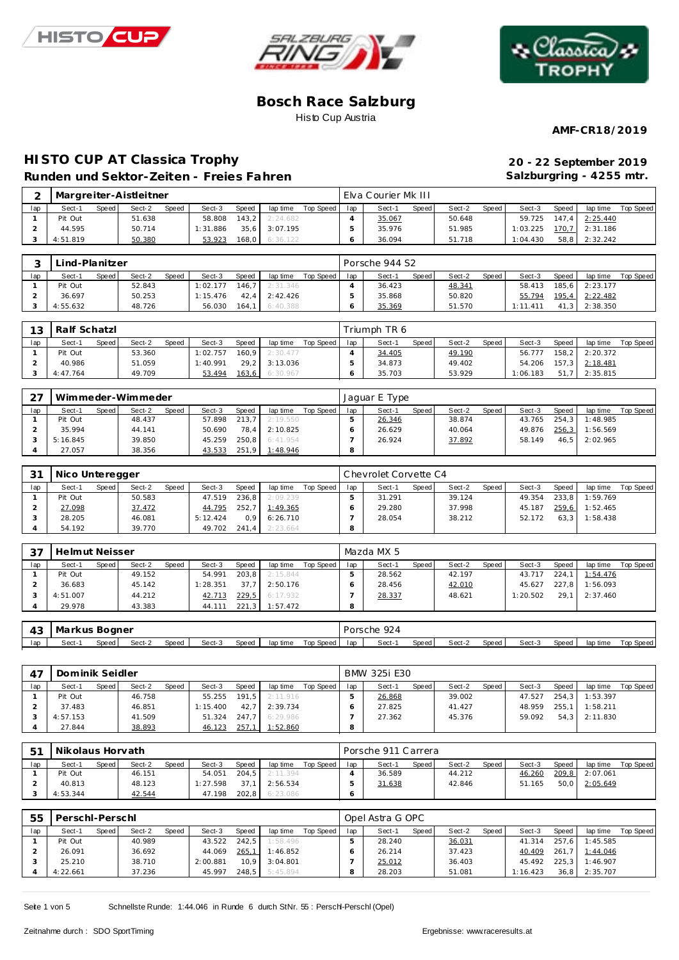





**AMF-CR18/2019**

# **HISTO CUP AT Classica Trophy Runden und Sektor-Zeiten - Freies Fahren**

| 20 - 22 September 2019   |
|--------------------------|
| Salzburgring - 4255 mtr. |

| $\sim$ |          |       | Margreiter-Aistleitner |              |          |       |                |           |     | Elva Courier Mk III |       |        |       |          |                    |          |           |
|--------|----------|-------|------------------------|--------------|----------|-------|----------------|-----------|-----|---------------------|-------|--------|-------|----------|--------------------|----------|-----------|
| lap    | Sect-1   | Speed | Sect-2                 | <b>Speed</b> | Sect-3   | Speed | lap time       | Top Speed | lap | Sect-1              | Speed | Sect-2 | Speed | Sect-3   | Speed              | lap time | Top Speed |
|        | Pit Out  |       | 51.638                 |              | 58.808   | 143.2 | 2:24.682       |           |     | 35.067              |       | 50.648 |       | 59.725   | $147.4$            | 2:25.440 |           |
|        | 44.595   |       | 50.714                 |              | 1:31.886 |       | 35.6 3:07.195  |           |     | 35.976              |       | 51.985 |       | 1:03.225 | 170.7 <sup>1</sup> | 2:31.186 |           |
|        | 4:51.819 |       | 50.380                 |              | 53.923   |       | 168,0 6:36.122 |           |     | 36.094              |       | 51.718 |       | 1:04.430 | 58,8               | 2:32.242 |           |

|     | Lind-Planitzer |       |        |       |          |       |                  |           |     | Porsche 944 S2 |       |        |       |          |       |                |           |
|-----|----------------|-------|--------|-------|----------|-------|------------------|-----------|-----|----------------|-------|--------|-------|----------|-------|----------------|-----------|
| lap | Sect-1         | Speed | Sect-2 | Speed | Sect-3   | Speed | lap time         | Top Speed | lap | Sect-1         | Speed | Sect-2 | Speed | Sect-3   | Speed | lap time       | Top Speed |
|     | Pit Out        |       | 52.843 |       | 1:02.177 |       | 146.7 2:31.346   |           |     | 36.423         |       | 48.341 |       | 58.413   |       | 185,6 2:23.177 |           |
|     | 36.697         |       | 50.253 |       | 1:15.476 |       | $42.4$ 2:42.426  |           |     | 35.868         |       | 50.820 |       | 55.794   |       | 195.4 2:22.482 |           |
|     | 4:55.632       |       | 48.726 |       | 56.030   |       | $164.1$ 6:40.388 |           |     | 35.369         |       | 51.570 |       | 1:11.411 |       | 41,3 2:38.350  |           |

| 13  | Ralf Schatzl |       |        |       |          |       |                  |           |     | Triumph TR 6 |       |        |       |          |       |          |           |
|-----|--------------|-------|--------|-------|----------|-------|------------------|-----------|-----|--------------|-------|--------|-------|----------|-------|----------|-----------|
| lap | Sect-1       | Speed | Sect-2 | Speed | Sect-3   | Speed | lap time         | Top Speed | lap | Sect-1       | Speed | Sect-2 | Speed | Sect-3   | Speed | lap time | Top Speed |
|     | Pit Out      |       | 53.360 |       | 1:02.757 |       | $160.9$ 2:30.477 |           |     | 34.405       |       | 49.190 |       | 56.777   | 158.2 | 2:20.372 |           |
|     | 40.986       |       | 51.059 |       | 1:40.991 |       | 29.2 3:13.036    |           |     | 34.873       |       | 49.402 |       | 54.206   | 157.3 | 2:18.481 |           |
|     | 4:47.764     |       | 49.709 |       | 53.494   |       | 163,6 6:30.967   |           |     | 35.703       |       | 53.929 |       | 1:06.183 | 51    | 2:35.815 |           |

| 27  |          |       | Wimmeder-Wimmeder |              |        |       |          |           |     | Jaquar E Type |       |        |        |        |       |          |           |
|-----|----------|-------|-------------------|--------------|--------|-------|----------|-----------|-----|---------------|-------|--------|--------|--------|-------|----------|-----------|
| lap | Sect-1   | Speed | Sect-2            | <b>Speed</b> | Sect-3 | Speed | lap time | Top Speed | lap | Sect-1        | Speed | Sect-2 | Speed, | Sect-3 | Speed | lap time | Top Speed |
|     | Pit Out  |       | 48.437            |              | 57.898 | 213.7 | 2:19.550 |           |     | 26.346        |       | 38.874 |        | 43.765 | 254.3 | 1:48.985 |           |
|     | 35.994   |       | 44.141            |              | 50.690 | 78.4  | 2:10.825 |           |     | 26.629        |       | 40.064 |        | 49.876 | 256,3 | 1:56.569 |           |
|     | 5:16.845 |       | 39.850            |              | 45.259 | 250.8 | 6:41.954 |           |     | 26.924        |       | 37.892 |        | 58.149 | 46.5  | 2:02.965 |           |
|     | 27.057   |       | 38.356            |              | 43.533 | 251.9 | 1:48.946 |           |     |               |       |        |        |        |       |          |           |

| 3 <sup>1</sup> | Nico Unteregger |       |        |       |          |         |          |           |     | l Chevrolet Corvette C4 |       |        |       |        |       |          |           |
|----------------|-----------------|-------|--------|-------|----------|---------|----------|-----------|-----|-------------------------|-------|--------|-------|--------|-------|----------|-----------|
| lap            | Sect-1          | Speed | Sect-2 | Speed | Sect-3   | Speed   | lap time | Top Speed | lap | Sect-1                  | Speed | Sect-2 | Speed | Sect-3 | Speed | lap time | Top Speed |
|                | Pit Out         |       | 50.583 |       | 47.519   | 236.8   | 2:09.239 |           |     | 31.291                  |       | 39.124 |       | 49.354 | 233.8 | 1:59.769 |           |
|                | 27.098          |       | 37.472 |       | 44.795   | 252.7   | 1:49.365 |           |     | 29.280                  |       | 37.998 |       | 45.187 | 259.6 | 1:52.465 |           |
|                | 28.205          |       | 46.081 |       | 5:12.424 | 0.9     | 6:26.710 |           |     | 28.054                  |       | 38.212 |       | 52.172 | 63.3  | 1:58.438 |           |
|                | 54.192          |       | 39.770 |       | 49.702   | $241.4$ | 2:23.664 |           |     |                         |       |        |       |        |       |          |           |

| 37  | Helmut Neisser |       |        |       |          |       |          |           |     | Mazda MX 5 |       |        |       |          |       |          |           |
|-----|----------------|-------|--------|-------|----------|-------|----------|-----------|-----|------------|-------|--------|-------|----------|-------|----------|-----------|
| lap | Sect-1         | Speed | Sect-2 | Speed | Sect-3   | Speed | lap time | Top Speed | lap | Sect-1     | Speed | Sect-2 | Speed | Sect-3   | Speed | lap time | Top Speed |
|     | Pit Out        |       | 49.152 |       | 54.991   | 203.8 | 2:15.844 |           |     | 28.562     |       | 42.197 |       | 43.717   | 224.1 | 1:54.476 |           |
|     | 36.683         |       | 45.142 |       | 1:28.351 | 37.7  | 2:50.176 |           |     | 28.456     |       | 42.010 |       | 45.627   | 227.8 | 1:56.093 |           |
|     | 4:51.007       |       | 44.212 |       | 42.713   | 229,5 | 6:17.932 |           |     | 28.337     |       | 48.621 |       | 1:20.502 | 29.   | 2:37.460 |           |
|     | 29.978         |       | 43.383 |       | 44.111   | 221,3 | 1:57.472 |           |     |            |       |        |       |          |       |          |           |

| ר ו<br>ن+ | Markus Bogner |              |        |              |          |                  |     |        |       | 924<br>Porsche<br>and the control of the con- |       |        |       |          |           |  |  |
|-----------|---------------|--------------|--------|--------------|----------|------------------|-----|--------|-------|-----------------------------------------------|-------|--------|-------|----------|-----------|--|--|
| lap       | Sect-1        | <b>Speed</b> | Sect-3 | <b>Speed</b> | lap time | <b>Top Speed</b> | lap | Sect-1 | Speed | Sect-2                                        | Speed | Sect-3 | Speed | lap time | Top Speed |  |  |

|     | Dominik Seidler |       |        |       |          |       |                  |           |     | BMW 325i E30 |       |        |       |        |       |          |           |
|-----|-----------------|-------|--------|-------|----------|-------|------------------|-----------|-----|--------------|-------|--------|-------|--------|-------|----------|-----------|
| lap | Sect-1          | Speed | Sect-2 | Speed | Sect-3   | Speed | lap time         | Top Speed | lap | Sect-1       | Speed | Sect-2 | Speed | Sect-3 | Speed | lap time | Top Speed |
|     | Pit Out         |       | 46.758 |       | 55.255   |       | $191.5$ 2:11.916 |           |     | 26.868       |       | 39.002 |       | 47.527 | 254.3 | 1:53.397 |           |
|     | 37.483          |       | 46.851 |       | 1:15.400 | 42.7  | 2:39.734         |           |     | 27.825       |       | 41.427 |       | 48.959 | 255.1 | 1:58.211 |           |
|     | 4:57.153        |       | 41.509 |       | 51.324   |       | 247.7 6:29.986   |           |     | 27.362       |       | 45.376 |       | 59.092 | 54.3  | 2:11.830 |           |
|     | 27.844          |       | 38.893 |       | 46.123   | 257,1 | 1:52.860         |           | 8   |              |       |        |       |        |       |          |           |

| $5^{\circ}$ | Nikolaus Horvath |       |        |              |          |       |          |           |     | I Porsche 911 Carrera |       |        |       |        |       |          |           |
|-------------|------------------|-------|--------|--------------|----------|-------|----------|-----------|-----|-----------------------|-------|--------|-------|--------|-------|----------|-----------|
| lap         | Sect-1           | Speed | Sect-2 | <b>Speed</b> | Sect-3   | Speed | lap time | Top Speed | lap | Sect-1                | Speed | Sect-2 | Speed | Sect-3 | Speed | lap time | Top Speed |
|             | Pit Out          |       | 46.151 |              | 54.051   | 204.5 | 2:11.394 |           |     | 36.589                |       | 44.212 |       | 46.260 | 209,8 | 2:07.061 |           |
|             | 40.813           |       | 48.123 |              | 1:27.598 | 37.1  | 2:56.534 |           |     | 31.638                |       | 42.846 |       | 51.165 | 50.0  | 2:05.649 |           |
|             | 4:53.344         |       | 42.544 |              | 47.198   | 202.8 | 6:23.086 |           |     |                       |       |        |       |        |       |          |           |

| 55  | Perschl-Perschl |       |        |       |          |       |          |           |     | Opel Astra G OPC |                    |        |       |          |       |          |           |
|-----|-----------------|-------|--------|-------|----------|-------|----------|-----------|-----|------------------|--------------------|--------|-------|----------|-------|----------|-----------|
| lap | Sect-1          | Speed | Sect-2 | Speed | Sect-3   | Speed | lap time | Top Speed | lap | Sect-1           | Speed <sub>1</sub> | Sect-2 | Speed | Sect-3   | Speed | lap time | Top Speed |
|     | Pit Out         |       | 40.989 |       | 43.522   | 242.5 | 1:58.496 |           |     | 28.240           |                    | 36.031 |       | 41.314   | 257.6 | 1:45.585 |           |
|     | 26.091          |       | 36.692 |       | 44.069   | 265,1 | 1:46.852 |           |     | 26.214           |                    | 37.423 |       | 40.409   | 261.7 | 1:44.046 |           |
|     | 25.210          |       | 38.710 |       | 2:00.881 | 10.9  | 3:04.801 |           |     | 25.012           |                    | 36.403 |       | 45.492   | 225.3 | 1:46.907 |           |
|     | 4:22.661        |       | 37.236 |       | 45.997   | 248.5 | 5:45.894 |           |     | 28.203           |                    | 51.081 |       | 1:16.423 | 36.8  | 2:35.707 |           |

Seite 1 von 5 Schnellste Runde: 1:44.046 in Runde 6 durch StNr. 55 : Perschl-Perschl (Opel)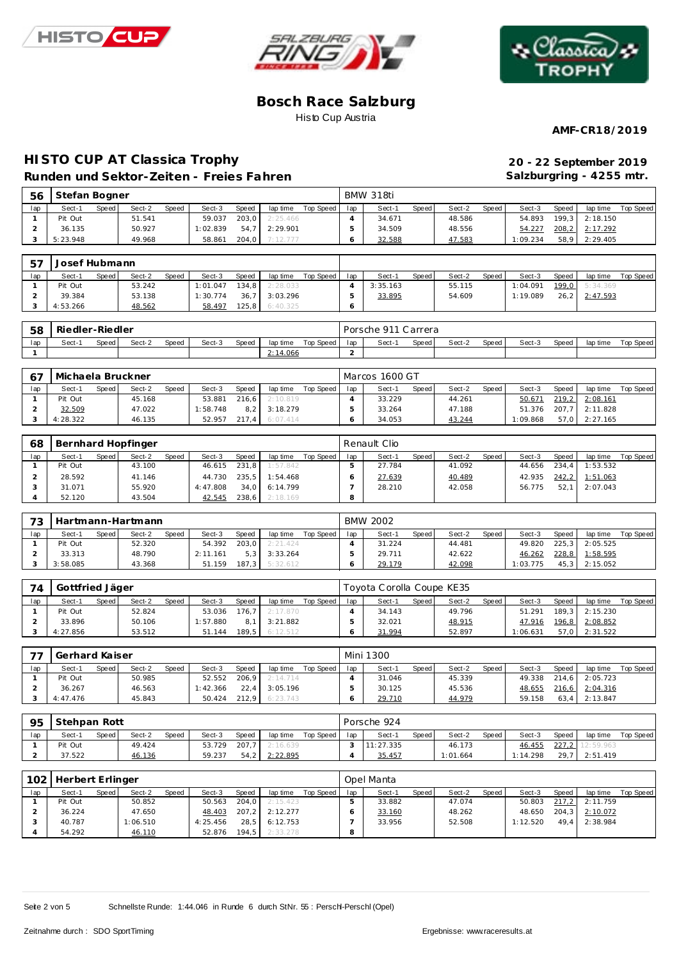





**AMF-CR18/2019**

# **HISTO CUP AT Classica Trophy 20 - 22 September 2019 Runden und Sektor-Zeiten - Freies Fahren**

**Salzburgring - 4255 mtr.**

| 56  | Stefan Bogner |       |        |       |          |              |                |           |     | BMW 318ti |              |        |       |          |       |                  |           |
|-----|---------------|-------|--------|-------|----------|--------------|----------------|-----------|-----|-----------|--------------|--------|-------|----------|-------|------------------|-----------|
| lap | Sect-1        | Speed | Sect-2 | Speed | Sect-3   | <b>Speed</b> | lap time       | Top Speed | lap | Sect-1    | <b>Speed</b> | Sect-2 | Speed | Sect-3   | Speed | lap time         | Top Speed |
|     | Pit Out       |       | 51.541 |       | 59.037   | 203.0        | 2:25.466       |           |     | 34.671    |              | 48.586 |       | 54.893   |       | $199.3$ 2:18.150 |           |
|     | 36.135        |       | 50.927 |       | 1:02.839 |              | 54.7 2:29.901  |           |     | 34.509    |              | 48.556 |       | 54.227   |       | 208.2 2:17.292   |           |
|     | 5:23.948      |       | 49.968 |       | 58.861   |              | 204,0 7:12.777 |           |     | 32.588    |              | 47.583 |       | 1:09.234 |       | 58,9 2:29.405    |           |

| -57 | Josef Hubmann |       |        |              |          |       |          |           |     |          |       |        |       |          |       |                |           |
|-----|---------------|-------|--------|--------------|----------|-------|----------|-----------|-----|----------|-------|--------|-------|----------|-------|----------------|-----------|
| lap | Sect-1        | Speed | Sect-2 | <b>Speed</b> | Sect-3   | Speed | lap time | Top Speed | lap | Sect-1   | Speed | Sect-2 | Speed | Sect-3   | Speed | lap time       | Top Speed |
|     | Pit Out       |       | 53.242 |              | 1:01.047 | 134.8 | 2:28.033 |           |     | 3:35.163 |       | 55.115 |       | 1:04.091 |       | 199.0 5:34.369 |           |
|     | 39.384        |       | 53.138 |              | 1:30.774 | 36.7  | 3:03.296 |           |     | 33.895   |       | 54.609 |       | 1:19.089 | 26.2  | 2:47.593       |           |
|     | 4:53.266      |       | 48.562 |              | 58.497   | 125,8 | 6:40.325 |           |     |          |       |        |       |          |       |                |           |

| 58  | Riedler-Riedler |              |        |       |        |       |          |           |     | Porsche 911 Carrera |         |        |       |        |       |          |           |
|-----|-----------------|--------------|--------|-------|--------|-------|----------|-----------|-----|---------------------|---------|--------|-------|--------|-------|----------|-----------|
| lap | Sect-1          | <b>Speed</b> | Sect-2 | Speed | Sect-3 | Speed | lap time | Top Speed | lap | Sect-1              | Speed i | Sect-2 | Speed | Sect-3 | Speed | lap time | Top Speed |
|     |                 |              |        |       |        |       | 2:14.066 |           |     |                     |         |        |       |        |       |          |           |

| 67  | Michaela Bruckner |       |        |              |          |       |          |           |     | Marcos 1600 GT |       |        |       |         |         |                 |           |
|-----|-------------------|-------|--------|--------------|----------|-------|----------|-----------|-----|----------------|-------|--------|-------|---------|---------|-----------------|-----------|
| lap | Sect-1            | Speed | Sect-2 | <b>Speed</b> | Sect-3   | Speed | lap time | Top Speed | lap | Sect-1         | Speed | Sect-2 | Speed | Sect-3  | Speed   | lap time        | Top Speed |
|     | Pit Out           |       | 45.168 |              | 53.881   | 216.6 | 2:10.819 |           |     | 33.229         |       | 44.261 |       | 50.671  | 219.2   | 2:08.161        |           |
|     | 32.509            |       | 47.022 |              | 1:58.748 | 8.2   | 3:18.279 |           |     | 33.264         |       | 47.188 |       | 51.376  | $207.7$ | 2:11.828        |           |
|     | 4:28.322          |       | 46.135 |              | 52.957   | 217.4 | 6:07.414 |           |     | 34.053         |       | 43.244 |       | :09.868 |         | $57.0$ 2:27.165 |           |

| 68  |         |       | Bernhard Hopfinger |              |          |         |          |           |     | Renault Clio |       |        |       |        |       |          |           |
|-----|---------|-------|--------------------|--------------|----------|---------|----------|-----------|-----|--------------|-------|--------|-------|--------|-------|----------|-----------|
| lap | Sect-1  | Speed | Sect-2             | <b>Speed</b> | Sect-3   | Speed   | lap time | Top Speed | lap | Sect-1       | Speed | Sect-2 | Speed | Sect-3 | Speed | lap time | Top Speed |
|     | Pit Out |       | 43.100             |              | 46.615   | 231.8   | 1:57.842 |           |     | 27.784       |       | 41.092 |       | 44.656 | 234.4 | 1:53.532 |           |
|     | 28.592  |       | 41.146             |              | 44.730   | $235.5$ | 1:54.468 |           |     | 27.639       |       | 40.489 |       | 42.935 | 242,2 | 1:51.063 |           |
|     | 31.071  |       | 55.920             |              | 4:47.808 | 34.0    | 6:14.799 |           |     | 28.210       |       | 42.058 |       | 56.775 | 52.7  | 2:07.043 |           |
|     | 52.120  |       | 43.504             |              | 42.545   | 238,6   | 2:18.169 |           |     |              |       |        |       |        |       |          |           |

| 73  |          |       | Hartmann-Hartmann |              |          |                  |           |           |     | <b>BMW 2002</b> |       |        |       |          |       |          |           |
|-----|----------|-------|-------------------|--------------|----------|------------------|-----------|-----------|-----|-----------------|-------|--------|-------|----------|-------|----------|-----------|
| lap | Sect-1   | Speed | Sect-2            | <b>Speed</b> | Sect-3   | Speed            | lap time  | Top Speed | lap | Sect-1          | Speed | Sect-2 | Speed | Sect-3   | Speed | lap time | Top Speed |
|     | Pit Out  |       | 52.320            |              | 54.392   | 203.0            | 2: 21.424 |           |     | 31.224          |       | 44.481 |       | 49.820   | 225.3 | 2:05.525 |           |
|     | 33.313   |       | 48.790            |              | 2:11.161 | 5.3 <sup>1</sup> | 3:33.264  |           |     | 29.711          |       | 42.622 |       | 46.262   | 228,8 | 1:58.595 |           |
|     | 3:58.085 |       | 43.368            |              | 51.159   | 187.3            | 5:32.612  |           |     | 29.179          |       | 42.098 |       | 1:03.775 | 45.3  | 2:15.052 |           |

| 74  | Gottfried Jäger |       |        |              |          |       |                |           |     | Toyota Corolla Coupe KE35 |       |        |       |          |       |                  |           |
|-----|-----------------|-------|--------|--------------|----------|-------|----------------|-----------|-----|---------------------------|-------|--------|-------|----------|-------|------------------|-----------|
| lap | Sect-1          | Speed | Sect-2 | <b>Speed</b> | Sect-3   | Speed | lap time       | Top Speed | lap | Sect-1                    | Speed | Sect-2 | Speed | Sect-3   | Speed | lap time         | Top Speed |
|     | Pit Out         |       | 52.824 |              | 53.036   | 176.7 | 2:17.870       |           |     | 34.143                    |       | 49.796 |       | 51.291   |       | $189.3$ 2:15.230 |           |
|     | 33.896          |       | 50.106 |              | 1:57.880 | $8.1$ | 3:21.882       |           |     | 32.021                    |       | 48.915 |       | 47.916   |       | 196,8 2:08.852   |           |
|     | 4:27.856        |       | 53.512 |              | 51.144   |       | 189.5 6:12.512 |           |     | 31.994                    |       | 52.897 |       | 1:06.631 |       | $57.0$ 2:31.522  |           |

| $\overline{\phantom{a}}$ | Gerhard Kaiser |       |        |              |          |       |          |           |     | Mini 1300 |       |        |       |        |       |                    |                  |
|--------------------------|----------------|-------|--------|--------------|----------|-------|----------|-----------|-----|-----------|-------|--------|-------|--------|-------|--------------------|------------------|
| lap                      | Sect-1         | Speed | Sect-2 | <b>Speed</b> | Sect-3   | Speed | lap time | Top Speed | lap | Sect-1    | Speed | Sect-2 | Speed | Sect-3 | Speed | lap time           | <b>Top Speed</b> |
|                          | Pit Out        |       | 50.985 |              | 52.552   | 206.9 | 2:14.714 |           |     | 31.046    |       | 45.339 |       | 49.338 |       | 214.6 2:05.723     |                  |
|                          | 36.267         |       | 46.563 |              | 1:42.366 | 22.4  | 3:05.196 |           |     | 30.125    |       | 45.536 |       | 48.655 |       | $216.6$ $2:04.316$ |                  |
|                          | 4:47.476       |       | 45.843 |              | 50.424   | 212.9 | 6:23.743 |           |     | 29.710    |       | 44.979 |       | 59.158 | 63.4  | 2:13.847           |                  |

| 95  | Stehpan Rott |         |        |       |        |       |               |           |     | Porsche 924 |       |          |       |          |       |                 |           |
|-----|--------------|---------|--------|-------|--------|-------|---------------|-----------|-----|-------------|-------|----------|-------|----------|-------|-----------------|-----------|
| lap | Sect-1       | Speed I | Sect-2 | Speed | Sect-3 | Speed | lap time      | Top Speed | lap | Sect-1      | Speed | Sect-2   | Speed | Sect-3   | Speed | lap time        | Top Speed |
|     | Pit Out      |         | 49.424 |       | 53.729 | 207.7 | 2:16.639      |           |     | 11:27.335   |       | 46.173   |       | 46.455   |       | 227,2 12:59.963 |           |
|     | 37.522       |         | 46.136 |       | 59.237 |       | 54,2 2:22.895 |           |     | 35.457      |       | 1:01.664 |       | 1:14.298 |       | 29.7 2:51.419   |           |

| 102 | Herbert Erlinger |       |         |       |          |       |          |           |     | Opel Manta |       |        |       |          |       |          |           |
|-----|------------------|-------|---------|-------|----------|-------|----------|-----------|-----|------------|-------|--------|-------|----------|-------|----------|-----------|
| lap | Sect-1           | Speed | Sect-2  | Speed | Sect-3   | Speed | lap time | Top Speed | lap | Sect-1     | Speed | Sect-2 | Speed | Sect-3   | Speed | lap time | Top Speed |
|     | Pit Out          |       | 50.852  |       | 50.563   | 204.0 | 2:15.423 |           |     | 33.882     |       | 47.074 |       | 50.803   | 217.2 | 2:11.759 |           |
|     | 36.224           |       | 47.650  |       | 48.403   | 207.2 | 2:12.277 |           |     | 33.160     |       | 48.262 |       | 48.650   | 204.3 | 2:10.072 |           |
|     | 40.787           |       | :06.510 |       | 4:25.456 | 28.5  | 6:12.753 |           |     | 33.956     |       | 52.508 |       | 1:12.520 | 49.4  | 2:38.984 |           |
|     | 54.292           |       | 46.110  |       | 52.876   | 194.5 | 2:33.278 |           |     |            |       |        |       |          |       |          |           |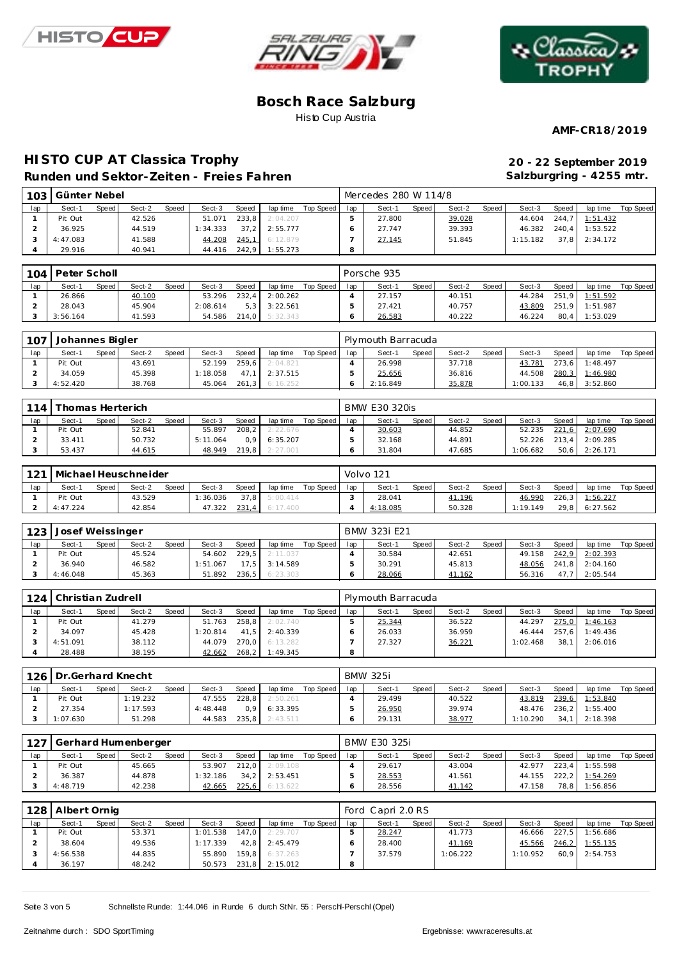





**AMF-CR18/2019**

# **HISTO CUP AT Classica Trophy Runden und Sektor-Zeiten - Freies Fahren**

| 20 - 22 September 2019   |
|--------------------------|
| Salzburgring - 4255 mtr. |

|     | 103 Günter Nebel |       |        |       |          |       |          |           |     | Mercedes 280 W 114/8 |       |        |       |          |       |          |           |
|-----|------------------|-------|--------|-------|----------|-------|----------|-----------|-----|----------------------|-------|--------|-------|----------|-------|----------|-----------|
| lap | Sect-1           | Speed | Sect-2 | Speed | Sect-3   | Speed | lap time | Top Speed | lap | Sect-1               | Speed | Sect-2 | Speed | Sect-3   | Speed | lap time | Top Speed |
|     | Pit Out          |       | 42.526 |       | 51.071   | 233.8 | 2:04.207 |           |     | 27.800               |       | 39.028 |       | 44.604   | 244.7 | 1:51.432 |           |
|     | 36.925           |       | 44.519 |       | 1:34.333 | 37.2  | 2:55.777 |           |     | 27.747               |       | 39.393 |       | 46.382   | 240.4 | 1:53.522 |           |
|     | 4:47.083         |       | 41.588 |       | 44.208   | 245.7 | 6:12.879 |           |     | 27.145               |       | 51.845 |       | 1:15.182 | 37.8  | 2:34.172 |           |
|     | 29.916           |       | 40.941 |       | 44.416   | 242.9 | : 55.273 |           |     |                      |       |        |       |          |       |          |           |

| 104' | Peter Scholl |       |        |              |          |            |          |             |     | Porsche 935 |       |        |       |        |              |                |           |
|------|--------------|-------|--------|--------------|----------|------------|----------|-------------|-----|-------------|-------|--------|-------|--------|--------------|----------------|-----------|
| lap  | Sect-1       | Speed | Sect-2 | <b>Speed</b> | Sect-3   | Speed      | lap time | Top Speed I | lap | Sect-1      | Speed | Sect-2 | Speed | Sect-3 | <b>Speed</b> | lap time       | Top Speed |
|      | 26.866       |       | 40.100 |              | 53.296   | 232.4      | 2:00.262 |             |     | 27.157      |       | 40.151 |       | 44.284 |              | 251,9 1:51.592 |           |
|      | 28.043       |       | 45.904 |              | 2:08.614 | $5.3 \mid$ | 3:22.561 |             |     | 27.421      |       | 40.757 |       | 43.809 | 251.9        | 1:51.987       |           |
|      | 3:56.164     |       | 41.593 |              | 54.586   | 214.0      | 5:32.343 |             |     | 26.583      |       | 40.222 |       | 46.224 | 80.4         | 1:53.029       |           |

| 107 | Johannes Bigler |       |        |              |          |       |          |           |     | Plymouth Barracuda |       |        |         |          |       |                |           |
|-----|-----------------|-------|--------|--------------|----------|-------|----------|-----------|-----|--------------------|-------|--------|---------|----------|-------|----------------|-----------|
| lap | Sect-1          | Speed | Sect-2 | <b>Speed</b> | Sect-3   | Speed | lap time | Top Speed | lap | Sect-1             | Speed | Sect-2 | Speed I | Sect-3   | Speed | lap time       | Top Speed |
|     | Pit Out         |       | 43.691 |              | 52.199   | 259.6 | 2:04.821 |           |     | 26.998             |       | 37.718 |         | 43.781   | 273.6 | 1:48.497       |           |
|     | 34.059          |       | 45.398 |              | 1:18.058 | 47.1  | 2:37.515 |           |     | 25.656             |       | 36.816 |         | 44.508   |       | 280,3 1:46.980 |           |
|     | 4:52.420        |       | 38.768 |              | 45.064   | 261.3 | 6:16.252 |           |     | 2:16.849           |       | 35.878 |         | : 00.133 | 46.8  | 3:52.860       |           |

| 114 | Thomas Herterich |       |        |              |          |                  |          |           |     | <b>BMW E30 320is</b> |         |        |       |          |              |                |           |
|-----|------------------|-------|--------|--------------|----------|------------------|----------|-----------|-----|----------------------|---------|--------|-------|----------|--------------|----------------|-----------|
| lap | Sect-1           | Speed | Sect-2 | <b>Speed</b> | Sect-3   | Speed            | lap time | Top Speed | lap | Sect-1               | Speed I | Sect-2 | Speed | Sect-3   | <b>Speed</b> | lap time       | Top Speed |
|     | Pit Out          |       | 52.841 |              | 55.897   | 208.2            | 2:22.676 |           |     | 30.603               |         | 44.852 |       | 52.235   |              | 221,6 2:07.690 |           |
|     | 33.411           |       | 50.732 |              | 5:11.064 | 0.9 <sup>1</sup> | 6:35.207 |           |     | 32.168               |         | 44.891 |       | 52.226   |              | 213.4 2:09.285 |           |
|     | 53.437           |       | 44.615 |              | 48.949   | 219.8            | 2:27.001 |           |     | 31.804               |         | 47.685 |       | 1:06.682 |              | 50,6 2:26.171  |           |

| 121 | Michael Heuschneider |       |        |              |          |       |          |           |     | Volvo 121 |       |        |       |          |       |                |           |
|-----|----------------------|-------|--------|--------------|----------|-------|----------|-----------|-----|-----------|-------|--------|-------|----------|-------|----------------|-----------|
| lap | Sect-1               | Speed | Sect-2 | <b>Speed</b> | Sect-3   | Speed | lap time | Top Speed | lap | Sect-1    | Speed | Sect-2 | Speed | Sect-3   | Speed | lap time       | Top Speed |
|     | Pit Out              |       | 43.529 |              | 1:36.036 | 37.8  | 5:00.414 |           |     | 28.041    |       | 41.196 |       | 46.990   |       | 226,3 1:56.227 |           |
|     | 4:47.224             |       | 42.854 |              | 47.322   | 231,4 | 6:17.400 |           |     | 4:18.085  |       | 50.328 |       | 1:19.149 | 29.8  | 6:27.562       |           |

| 123 | Josef Weissinger |       |        |              |          |       |          |           |     | BMW 323i E21 |       |        |       |        |       |          |           |
|-----|------------------|-------|--------|--------------|----------|-------|----------|-----------|-----|--------------|-------|--------|-------|--------|-------|----------|-----------|
| lap | Sect-1           | Speed | Sect-2 | <b>Speed</b> | Sect-3   | Speed | lap time | Top Speed | lap | Sect-1       | Speed | Sect-2 | Speed | Sect-3 | Speed | lap time | Top Speed |
|     | Pit Out          |       | 45.524 |              | 54.602   | 229.5 | 2:11.037 |           |     | 30.584       |       | 42.651 |       | 49.158 | 242,9 | 2:02.393 |           |
|     | 36.940           |       | 46.582 |              | 1:51.067 | 17.5  | 3:14.589 |           |     | 30.291       |       | 45.813 |       | 48.056 | 241.8 | 2:04.160 |           |
|     | 4:46.048         |       | 45.363 |              | 51.892   | 236.5 | 6:23.303 |           |     | 28.066       |       | 41.162 |       | 56.316 | 47.7  | 2:05.544 |           |

| 124 | Christian Zudrell |       |        |              |          |       |                |             |     | Plymouth Barracuda |       |        |       |          |              |                |           |
|-----|-------------------|-------|--------|--------------|----------|-------|----------------|-------------|-----|--------------------|-------|--------|-------|----------|--------------|----------------|-----------|
| lap | Sect-1            | Speed | Sect-2 | <b>Speed</b> | Sect-3   | Speed | lap time       | Top Speed I | lap | Sect-1             | Speed | Sect-2 | Speed | Sect-3   | <b>Speed</b> | lap time       | Top Speed |
|     | Pit Out           |       | 41.279 |              | 51.763   | 258.8 | 2:02.740       |             |     | 25.344             |       | 36.522 |       | 44.297   |              | 275,0 1:46.163 |           |
|     | 34.097            |       | 45.428 |              | 1:20.814 | 41.5  | 2:40.339       |             |     | 26.033             |       | 36.959 |       | 46.444   |              | 257.6 1:49.436 |           |
|     | 4:51.091          |       | 38.112 |              | 44.079   |       | 270.0 6:13.282 |             |     | 27.327             |       | 36.221 |       | 1:02.468 | 38.1         | 2:06.016       |           |
|     | 28.488            |       | 38.195 |              | 42.662   | 268,2 | 1:49.345       |             | 8   |                    |       |        |       |          |              |                |           |

|     | 126 Dr. Gerhard Knecht |       |          |       |          |                  |                  |           |     | <b>BMW 325i</b> |       |        |       |          |       |          |           |
|-----|------------------------|-------|----------|-------|----------|------------------|------------------|-----------|-----|-----------------|-------|--------|-------|----------|-------|----------|-----------|
| lap | Sect-1                 | Speed | Sect-2   | Speed | Sect-3   | Speed            | lap time         | Top Speed | lap | Sect-1          | Speed | Sect-2 | Speed | Sect-3   | Speed | lap time | Top Speed |
|     | Pit Out                |       | 1:19.232 |       | 47.555   | 228.8            | 2:50.261         |           |     | 29.499          |       | 40.522 |       | 43.819   | 239,6 | 1:53.840 |           |
|     | 27.354                 |       | 1:17.593 |       | 4:48.448 | 0.9 <sub>1</sub> | 6:33.395         |           |     | 26.950          |       | 39.974 |       | 48.476   | 236.2 | 1:55.400 |           |
|     | 1:07.630               |       | 51.298   |       | 44.583   |                  | $235.8$ 2:43.511 |           |     | 29.131          |       | 38.977 |       | 1:10.290 | 34.1  | 2:18.398 |           |

|     | 127 Gerhard Humenberger |       |        |       |          |       |                 |           |     | BMW E30 325i |       |        |       |        |       |          |           |
|-----|-------------------------|-------|--------|-------|----------|-------|-----------------|-----------|-----|--------------|-------|--------|-------|--------|-------|----------|-----------|
| lap | Sect-1                  | Speed | Sect-2 | Speed | Sect-3   | Speed | lap time        | Top Speed | lap | Sect-1       | Speed | Sect-2 | Speed | Sect-3 | Speed | lap time | Top Speed |
|     | Pit Out                 |       | 45.665 |       | 53.907   | 212.0 | 2:09.108        |           |     | 29.617       |       | 43.004 |       | 42.977 | 223.4 | 1:55.598 |           |
|     | 36.387                  |       | 44.878 |       | 1:32.186 |       | $34.2$ 2:53.451 |           |     | 28.553       |       | 41.561 |       | 44.155 | 222,2 | 1:54.269 |           |
|     | 4:48.719                |       | 42.238 |       | 42.665   | 225,6 | 6:13.622        |           |     | 28.556       |       | 41.142 |       | 47.158 | 78,8  | 1:56.856 |           |

| 128 | I Albert Ornig |       |        |       |          |       |          |           |         | Ford Capri 2.0 RS |       |          |       |          |       |                 |           |
|-----|----------------|-------|--------|-------|----------|-------|----------|-----------|---------|-------------------|-------|----------|-------|----------|-------|-----------------|-----------|
| lap | Sect-1         | Speed | Sect-2 | Speed | Sect-3   | Speed | lap time | Top Speed | lap     | Sect-1            | Speed | Sect-2   | Speed | Sect-3   | Speed | lap time        | Top Speed |
|     | Pit Out        |       | 53.371 |       | 1:01.538 | 147.0 | 2:29.707 |           |         | 28.247            |       | 41.773   |       | 46.666   |       | 227.5 1:56.686  |           |
|     | 38.604         |       | 49.536 |       | 1:17.339 | 42.8  | 2:45.479 |           |         | 28.400            |       | 41.169   |       | 45.566   |       | 246.2 1:55.135  |           |
|     | 4:56.538       |       | 44.835 |       | 55.890   | 159.8 | 6:37.263 |           |         | 37.579            |       | 1:06.222 |       | 1:10.952 |       | $60.9$ 2:54.753 |           |
|     | 36.197         |       | 48.242 |       | 50.573   | 231,8 | 2:15.012 |           | $\circ$ |                   |       |          |       |          |       |                 |           |

Seite 3 von 5 Schnellste Runde: 1:44.046 in Runde 6 durch StNr. 55 : Perschl-Perschl (Opel)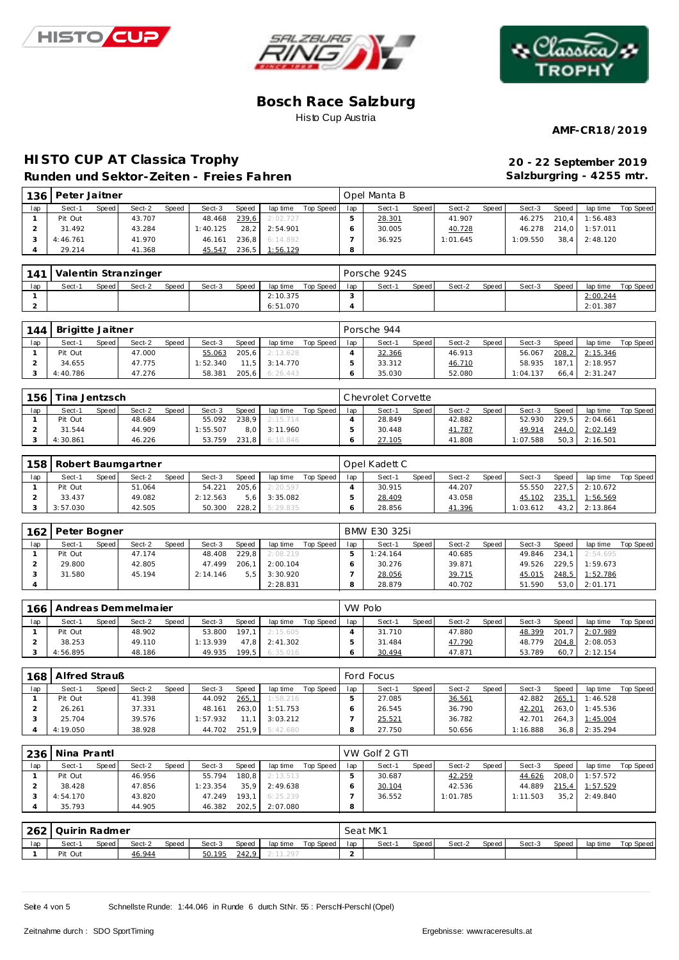





**AMF-CR18/2019**

## **HISTO CUP AT Classica Trophy 20 - 22 September 2019 Runden und Sektor-Zeiten - Freies Fahren**

**Salzburgring - 4255 mtr.**

| 136 | Peter Jaitner |       |        |              |          |              |          |           |     | Opel Manta B |       |          |       |          |         |          |           |
|-----|---------------|-------|--------|--------------|----------|--------------|----------|-----------|-----|--------------|-------|----------|-------|----------|---------|----------|-----------|
| lap | Sect-1        | Speed | Sect-2 | <b>Speed</b> | Sect-3   | <b>Speed</b> | lap time | Top Speed | lap | Sect-1       | Speed | Sect-2   | Speed | Sect-3   | Speed   | lap time | Top Speed |
|     | Pit Out       |       | 43.707 |              | 48.468   | 239,6        | 2:02.727 |           |     | 28.301       |       | 41.907   |       | 46.275   | $210.4$ | 1:56.483 |           |
|     | 31.492        |       | 43.284 |              | 1:40.125 | 28.2         | 2:54.901 |           |     | 30.005       |       | 40.728   |       | 46.278   | 214.0   | 1:57.011 |           |
|     | 4:46.761      |       | 41.970 |              | 46.161   | 236.8        | 6:14.892 |           |     | 36.925       |       | 1:01.645 |       | 1:09.550 | 38.4    | 2:48.120 |           |
|     | 29.214        |       | 41.368 |              | 45.547   | 236,5        | 1:56.129 |           | 8   |              |       |          |       |          |         |          |           |

| 141 |        |       | Valentin Stranzinger |              |        |       |          |             |     | Porsche 924S |       |        |       |        |       |          |           |
|-----|--------|-------|----------------------|--------------|--------|-------|----------|-------------|-----|--------------|-------|--------|-------|--------|-------|----------|-----------|
| lap | Sect-1 | Speed | Sect-2               | <b>Speed</b> | Sect-3 | Speed | lap time | Top Speed I | lap | Sect-1       | Speed | Sect-2 | Speed | Sect-3 | Speed | lap time | Top Speed |
|     |        |       |                      |              |        |       | 2:10.375 |             |     |              |       |        |       |        |       | 2:00.244 |           |
|     |        |       |                      |              |        |       | 6:51.070 |             |     |              |       |        |       |        |       | 2:01.387 |           |

| 144 | Brigitte Jaitner |       |        |       |          |       |                   |           |     | Porsche 944 |       |        |       |          |       |                |           |
|-----|------------------|-------|--------|-------|----------|-------|-------------------|-----------|-----|-------------|-------|--------|-------|----------|-------|----------------|-----------|
| lap | Sect-1           | Speed | Sect-2 | Speed | Sect-3   | Speed | lap time          | Top Speed | lap | Sect-1      | Speed | Sect-2 | Speed | Sect-3   | Speed | lap time       | Top Speed |
|     | Pit Out          |       | 47.000 |       | 55.063   |       | 205,6 2:13.628    |           |     | 32.366      |       | 46.913 |       | 56.067   |       | 208.2 2:15.346 |           |
|     | 34.655           |       | 47.775 |       | 1:52.340 |       | $11.5$ $3:14.770$ |           |     | 33.312      |       | 46.710 |       | 58.935   |       | 187.1 2:18.957 |           |
|     | 4:40.786         |       | 47.276 |       | 58.381   |       | 205,6 6:26.443    |           |     | 35.030      |       | 52.080 |       | 1:04.137 | 66.4  | 2:31.247       |           |

| 156 | ina Jentzsch |              |        |              |          |       |          |           |     | Chevrolet Corvette |       |        |       |         |       |          |           |
|-----|--------------|--------------|--------|--------------|----------|-------|----------|-----------|-----|--------------------|-------|--------|-------|---------|-------|----------|-----------|
| lap | Sect-1       | <b>Speed</b> | Sect-2 | <b>Speed</b> | Sect-3   | Speed | lap time | Top Speed | lap | Sect-1             | Speed | Sect-2 | Speed | Sect-3  | Speed | lap time | Top Speed |
|     | Pit Out      |              | 48.684 |              | 55.092   | 238.9 | 2:15.714 |           |     | 28.849             |       | 42.882 |       | 52.930  | 229.5 | 2:04.661 |           |
|     | 31.544       |              | 44.909 |              | 1:55.507 | 8.0   | 3:11.960 |           |     | 30.448             |       | 41.787 |       | 49.914  | 244,0 | 2:02.149 |           |
|     | 4:30.861     |              | 46.226 |              | 53.759   | 231.8 | 6:10.846 |           |     | 27.105             |       | 41.808 |       | :07.588 | 50.3  | 2:16.501 |           |

|     | 158   Robert Baumgartner |       |        |       |          |       |          |           |     | Opel Kadett C |       |        |       |          |       |          |           |  |  |  |
|-----|--------------------------|-------|--------|-------|----------|-------|----------|-----------|-----|---------------|-------|--------|-------|----------|-------|----------|-----------|--|--|--|
| lap | Sect-1                   | Speed | Sect-2 | Speed | Sect-3   | Speed | lap time | Top Speed | lap | Sect-1        | Speed | Sect-2 | Speed | Sect-3   | Speed | lap time | Top Speed |  |  |  |
|     | Pit Out                  |       | 51.064 |       | 54.221   | 205.6 | 2:20.597 |           |     | 30.915        |       | 44.207 |       | 55.550   | 227.5 | 2:10.672 |           |  |  |  |
|     | 33.437                   |       | 49.082 |       | 2:12.563 | 5.6   | 3:35.082 |           |     | 28.409        |       | 43.058 |       | 45.102   | 235.1 | 1:56.569 |           |  |  |  |
|     | 3:57.030                 |       | 42.505 |       | 50.300   | 228.2 | 5:29.835 |           |     | 28.856        |       | 41.396 |       | : 03.612 | 43.2  | 2:13.864 |           |  |  |  |

| 162 | Peter Bogner |       |        |       |          |       |          |           | BMW E30 325i |          |       |        |       |        |       |          |           |  |  |
|-----|--------------|-------|--------|-------|----------|-------|----------|-----------|--------------|----------|-------|--------|-------|--------|-------|----------|-----------|--|--|
| lap | Sect-1       | Speed | Sect-2 | Speed | Sect-3   | Speed | lap time | Top Speed | lap          | Sect-1   | Speed | Sect-2 | Speed | Sect-3 | Speed | lap time | Top Speed |  |  |
|     | Pit Out      |       | 47.174 |       | 48.408   | 229.8 | 2:08.219 |           |              | 1:24.164 |       | 40.685 |       | 49.846 | 234.1 | 2:54.695 |           |  |  |
|     | 29.800       |       | 42.805 |       | 47.499   | 206.1 | 2:00.104 |           |              | 30.276   |       | 39.871 |       | 49.526 | 229.5 | 1:59.673 |           |  |  |
|     | 31.580       |       | 45.194 |       | 2:14.146 | 5.5   | 3:30.920 |           |              | 28.056   |       | 39.715 |       | 45.015 | 248.5 | 1:52.786 |           |  |  |
|     |              |       |        |       |          |       | 2:28.831 |           |              | 28.879   |       | 40.702 |       | 51.590 | 53.0  | 2:01.171 |           |  |  |

| 166 | Andreas Demmelmaier |       | VW Polo |              |          |       |          |           |     |        |              |        |       |        |              |                 |           |
|-----|---------------------|-------|---------|--------------|----------|-------|----------|-----------|-----|--------|--------------|--------|-------|--------|--------------|-----------------|-----------|
| lap | Sect-1              | Speed | Sect-2  | <b>Speed</b> | Sect-3   | Speed | lap time | Top Speed | lap | Sect-1 | <b>Speed</b> | Sect-2 | Speed | Sect-3 | <b>Speed</b> | lap time        | Top Speed |
|     | Pit Out             |       | 48.902  |              | 53.800   | 197.1 | 2:15.605 |           |     | 31.710 |              | 47.880 |       | 48.399 | 201.7        | 2:07.989        |           |
|     | 38.253              |       | 49.110  |              | 1:13.939 | 47.8  | 2:41.302 |           |     | 31.484 |              | 47.790 |       | 48.779 |              | 204.8 2:08.053  |           |
|     | 4:56.895            |       | 48.186  |              | 49.935   | 199.5 | 6:35.016 |           |     | 30.494 |              | 47.871 |       | 53.789 |              | $60.7$ 2:12.154 |           |

| 168 | Alfred Strauß |       |        |              |          |       |          |           |     | Ford Focus |       |        |       |          |       |                 |           |
|-----|---------------|-------|--------|--------------|----------|-------|----------|-----------|-----|------------|-------|--------|-------|----------|-------|-----------------|-----------|
| lap | Sect-1        | Speed | Sect-2 | <b>Speed</b> | Sect-3   | Speed | lap time | Top Speed | lap | Sect-1     | Speed | Sect-2 | Speed | Sect-3   | Speed | lap time        | Top Speed |
|     | Pit Out       |       | 41.398 |              | 44.092   | 265,1 | 1:58.216 |           |     | 27.085     |       | 36.561 |       | 42.882   | 265,1 | 1:46.528        |           |
|     | 26.261        |       | 37.331 |              | 48.161   | 263.0 | 1:51.753 |           |     | 26.545     |       | 36.790 |       | 42.201   |       | 263,0 1:45.536  |           |
|     | 25.704        |       | 39.576 |              | 1:57.932 | 11 1  | 3:03.212 |           |     | 25.521     |       | 36.782 |       | 42.701   |       | 264,3 1:45.004  |           |
|     | 4:19.050      |       | 38.928 |              | 44.702   | 251.9 | 5:42.680 |           |     | 27.750     |       | 50.656 |       | 1:16.888 |       | $36.8$ 2:35.294 |           |

|     | 236   Nina Prantl |       |        |       |          |       |          |           |     | VW Golf 2 GTI |       |          |       |          |       |          |           |
|-----|-------------------|-------|--------|-------|----------|-------|----------|-----------|-----|---------------|-------|----------|-------|----------|-------|----------|-----------|
| lap | Sect-1            | Speed | Sect-2 | Speed | Sect-3   | Speed | lap time | Top Speed | lap | Sect-1        | Speed | Sect-2   | Speed | Sect-3   | Speed | lap time | Top Speed |
|     | Pit Out           |       | 46.956 |       | 55.794   | 180.8 | 2:13.513 |           |     | 30.687        |       | 42.259   |       | 44.626   | 208.0 | 1:57.572 |           |
|     | 38.428            |       | 47.856 |       | 1:23.354 | 35.9  | 2:49.638 |           |     | 30.104        |       | 42.536   |       | 44.889   | 215,4 | 1:57.529 |           |
|     | 4:54.170          |       | 43.820 |       | 47.249   | 193.1 | 6:25.239 |           |     | 36.552        |       | 1:01.785 |       | 1:11.503 | 35.2  | 2:49.840 |           |
|     | 35.793            |       | 44.905 |       | 46.382   | 202,5 | 2:07.080 |           |     |               |       |          |       |          |       |          |           |

| 262 | Quirin Radmer |       |        |       |        |       |          |           |     | Seat MK1 |       |        |       |        |       |          |           |  |  |  |
|-----|---------------|-------|--------|-------|--------|-------|----------|-----------|-----|----------|-------|--------|-------|--------|-------|----------|-----------|--|--|--|
| lap | Sect-1        | Speed | Sect-2 | Speed | Sect-3 | Speed | lap time | Top Speed | lap | Sect-1   | Speed | Sect-2 | Speed | Sect-3 | Speed | lap time | Top Speed |  |  |  |
|     | Pit Out       |       | 46.944 |       | 50.195 | 242,9 | 11.297   |           |     |          |       |        |       |        |       |          |           |  |  |  |

Seite 4 von 5 Schnellste Runde: 1:44.046 in Runde 6 durch StNr. 55 : Perschl-Perschl (Opel)